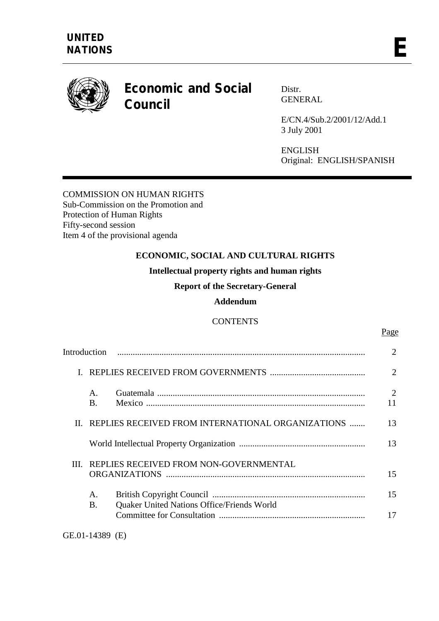

# **Economic and Social Council**

Distr. GENERAL

E/CN.4/Sub.2/2001/12/Add.1 3 July 2001

ENGLISH Original: ENGLISH/SPANISH

## COMMISSION ON HUMAN RIGHTS Sub-Commission on the Promotion and Protection of Human Rights Fifty-second session Item 4 of the provisional agenda

# **ECONOMIC, SOCIAL AND CULTURAL RIGHTS**

**Intellectual property rights and human rights** 

**Report of the Secretary-General** 

## **Addendum**

# **CONTENTS**

|       | Introduction                                      |                                            | 2                    |
|-------|---------------------------------------------------|--------------------------------------------|----------------------|
|       |                                                   |                                            | $\overline{2}$       |
|       | $\mathsf{A}$ .<br><b>B.</b>                       |                                            | $\overline{2}$<br>11 |
| $\Pi$ | REPLIES RECEIVED FROM INTERNATIONAL ORGANIZATIONS |                                            | 13                   |
|       |                                                   |                                            | 13                   |
|       | III. REPLIES RECEIVED FROM NON-GOVERNMENTAL       |                                            | 15                   |
|       | А.<br>В.                                          | Quaker United Nations Office/Friends World | 15                   |
|       |                                                   |                                            | 17                   |

Page **Page**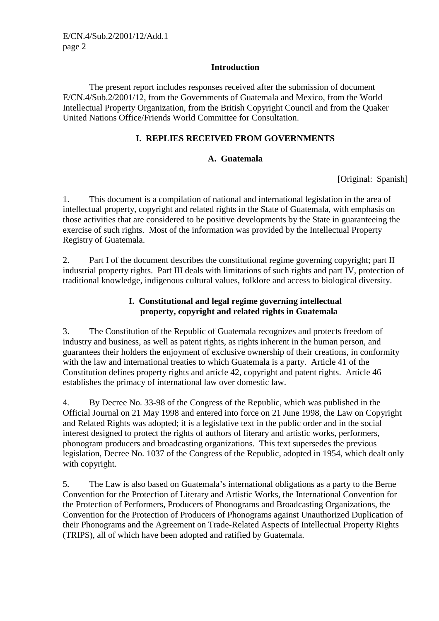## **Introduction**

 The present report includes responses received after the submission of document E/CN.4/Sub.2/2001/12, from the Governments of Guatemala and Mexico, from the World Intellectual Property Organization, from the British Copyright Council and from the Quaker United Nations Office/Friends World Committee for Consultation.

## **I. REPLIES RECEIVED FROM GOVERNMENTS**

## **A. Guatemala**

[Original: Spanish]

1. This document is a compilation of national and international legislation in the area of intellectual property, copyright and related rights in the State of Guatemala, with emphasis on those activities that are considered to be positive developments by the State in guaranteeing the exercise of such rights. Most of the information was provided by the Intellectual Property Registry of Guatemala.

2. Part I of the document describes the constitutional regime governing copyright; part II industrial property rights. Part III deals with limitations of such rights and part IV, protection of traditional knowledge, indigenous cultural values, folklore and access to biological diversity.

## **I. Constitutional and legal regime governing intellectual property, copyright and related rights in Guatemala**

3. The Constitution of the Republic of Guatemala recognizes and protects freedom of industry and business, as well as patent rights, as rights inherent in the human person, and guarantees their holders the enjoyment of exclusive ownership of their creations, in conformity with the law and international treaties to which Guatemala is a party. Article 41 of the Constitution defines property rights and article 42, copyright and patent rights. Article 46 establishes the primacy of international law over domestic law.

4. By Decree No. 33-98 of the Congress of the Republic, which was published in the Official Journal on 21 May 1998 and entered into force on 21 June 1998, the Law on Copyright and Related Rights was adopted; it is a legislative text in the public order and in the social interest designed to protect the rights of authors of literary and artistic works, performers, phonogram producers and broadcasting organizations. This text supersedes the previous legislation, Decree No. 1037 of the Congress of the Republic, adopted in 1954, which dealt only with copyright.

5. The Law is also based on Guatemala's international obligations as a party to the Berne Convention for the Protection of Literary and Artistic Works, the International Convention for the Protection of Performers, Producers of Phonograms and Broadcasting Organizations, the Convention for the Protection of Producers of Phonograms against Unauthorized Duplication of their Phonograms and the Agreement on Trade-Related Aspects of Intellectual Property Rights (TRIPS), all of which have been adopted and ratified by Guatemala.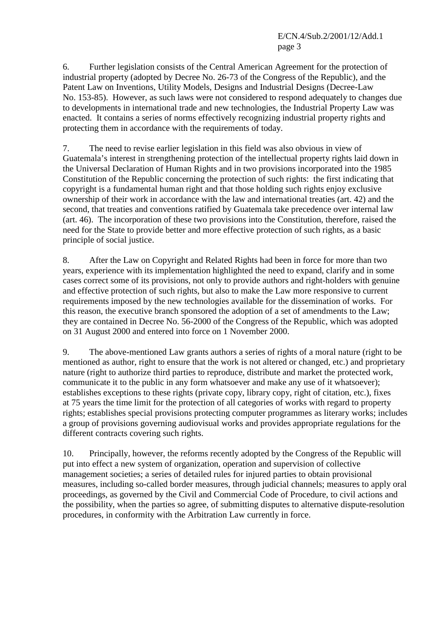6. Further legislation consists of the Central American Agreement for the protection of industrial property (adopted by Decree No. 26-73 of the Congress of the Republic), and the Patent Law on Inventions, Utility Models, Designs and Industrial Designs (Decree-Law No. 153-85). However, as such laws were not considered to respond adequately to changes due to developments in international trade and new technologies, the Industrial Property Law was enacted. It contains a series of norms effectively recognizing industrial property rights and protecting them in accordance with the requirements of today.

7. The need to revise earlier legislation in this field was also obvious in view of Guatemala's interest in strengthening protection of the intellectual property rights laid down in the Universal Declaration of Human Rights and in two provisions incorporated into the 1985 Constitution of the Republic concerning the protection of such rights: the first indicating that copyright is a fundamental human right and that those holding such rights enjoy exclusive ownership of their work in accordance with the law and international treaties (art. 42) and the second, that treaties and conventions ratified by Guatemala take precedence over internal law (art. 46). The incorporation of these two provisions into the Constitution, therefore, raised the need for the State to provide better and more effective protection of such rights, as a basic principle of social justice.

8. After the Law on Copyright and Related Rights had been in force for more than two years, experience with its implementation highlighted the need to expand, clarify and in some cases correct some of its provisions, not only to provide authors and right-holders with genuine and effective protection of such rights, but also to make the Law more responsive to current requirements imposed by the new technologies available for the dissemination of works. For this reason, the executive branch sponsored the adoption of a set of amendments to the Law; they are contained in Decree No. 56-2000 of the Congress of the Republic, which was adopted on 31 August 2000 and entered into force on 1 November 2000.

9. The above-mentioned Law grants authors a series of rights of a moral nature (right to be mentioned as author, right to ensure that the work is not altered or changed, etc.) and proprietary nature (right to authorize third parties to reproduce, distribute and market the protected work, communicate it to the public in any form whatsoever and make any use of it whatsoever); establishes exceptions to these rights (private copy, library copy, right of citation, etc.), fixes at 75 years the time limit for the protection of all categories of works with regard to property rights; establishes special provisions protecting computer programmes as literary works; includes a group of provisions governing audiovisual works and provides appropriate regulations for the different contracts covering such rights.

10. Principally, however, the reforms recently adopted by the Congress of the Republic will put into effect a new system of organization, operation and supervision of collective management societies; a series of detailed rules for injured parties to obtain provisional measures, including so-called border measures, through judicial channels; measures to apply oral proceedings, as governed by the Civil and Commercial Code of Procedure, to civil actions and the possibility, when the parties so agree, of submitting disputes to alternative dispute-resolution procedures, in conformity with the Arbitration Law currently in force.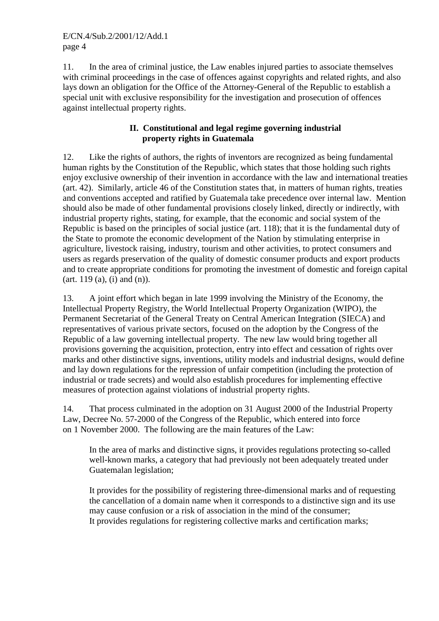11. In the area of criminal justice, the Law enables injured parties to associate themselves with criminal proceedings in the case of offences against copyrights and related rights, and also lays down an obligation for the Office of the Attorney-General of the Republic to establish a special unit with exclusive responsibility for the investigation and prosecution of offences against intellectual property rights.

## **II. Constitutional and legal regime governing industrial property rights in Guatemala**

12. Like the rights of authors, the rights of inventors are recognized as being fundamental human rights by the Constitution of the Republic, which states that those holding such rights enjoy exclusive ownership of their invention in accordance with the law and international treaties (art. 42). Similarly, article 46 of the Constitution states that, in matters of human rights, treaties and conventions accepted and ratified by Guatemala take precedence over internal law. Mention should also be made of other fundamental provisions closely linked, directly or indirectly, with industrial property rights, stating, for example, that the economic and social system of the Republic is based on the principles of social justice (art. 118); that it is the fundamental duty of the State to promote the economic development of the Nation by stimulating enterprise in agriculture, livestock raising, industry, tourism and other activities, to protect consumers and users as regards preservation of the quality of domestic consumer products and export products and to create appropriate conditions for promoting the investment of domestic and foreign capital  $(\text{art. } 119 \text{ (a)}, \text{ (i)} \text{ and } \text{ (n)}).$ 

13. A joint effort which began in late 1999 involving the Ministry of the Economy, the Intellectual Property Registry, the World Intellectual Property Organization (WIPO), the Permanent Secretariat of the General Treaty on Central American Integration (SIECA) and representatives of various private sectors, focused on the adoption by the Congress of the Republic of a law governing intellectual property. The new law would bring together all provisions governing the acquisition, protection, entry into effect and cessation of rights over marks and other distinctive signs, inventions, utility models and industrial designs, would define and lay down regulations for the repression of unfair competition (including the protection of industrial or trade secrets) and would also establish procedures for implementing effective measures of protection against violations of industrial property rights.

14. That process culminated in the adoption on 31 August 2000 of the Industrial Property Law, Decree No. 57-2000 of the Congress of the Republic, which entered into force on 1 November 2000. The following are the main features of the Law:

In the area of marks and distinctive signs, it provides regulations protecting so-called well-known marks, a category that had previously not been adequately treated under Guatemalan legislation;

It provides for the possibility of registering three-dimensional marks and of requesting the cancellation of a domain name when it corresponds to a distinctive sign and its use may cause confusion or a risk of association in the mind of the consumer; It provides regulations for registering collective marks and certification marks;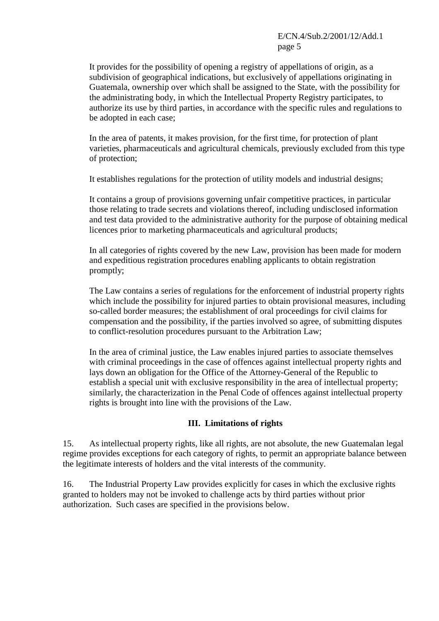It provides for the possibility of opening a registry of appellations of origin, as a subdivision of geographical indications, but exclusively of appellations originating in Guatemala, ownership over which shall be assigned to the State, with the possibility for the administrating body, in which the Intellectual Property Registry participates, to authorize its use by third parties, in accordance with the specific rules and regulations to be adopted in each case;

In the area of patents, it makes provision, for the first time, for protection of plant varieties, pharmaceuticals and agricultural chemicals, previously excluded from this type of protection;

It establishes regulations for the protection of utility models and industrial designs;

It contains a group of provisions governing unfair competitive practices, in particular those relating to trade secrets and violations thereof, including undisclosed information and test data provided to the administrative authority for the purpose of obtaining medical licences prior to marketing pharmaceuticals and agricultural products;

In all categories of rights covered by the new Law, provision has been made for modern and expeditious registration procedures enabling applicants to obtain registration promptly;

The Law contains a series of regulations for the enforcement of industrial property rights which include the possibility for injured parties to obtain provisional measures, including so-called border measures; the establishment of oral proceedings for civil claims for compensation and the possibility, if the parties involved so agree, of submitting disputes to conflict-resolution procedures pursuant to the Arbitration Law;

In the area of criminal justice, the Law enables injured parties to associate themselves with criminal proceedings in the case of offences against intellectual property rights and lays down an obligation for the Office of the Attorney-General of the Republic to establish a special unit with exclusive responsibility in the area of intellectual property; similarly, the characterization in the Penal Code of offences against intellectual property rights is brought into line with the provisions of the Law.

## **III. Limitations of rights**

15. As intellectual property rights, like all rights, are not absolute, the new Guatemalan legal regime provides exceptions for each category of rights, to permit an appropriate balance between the legitimate interests of holders and the vital interests of the community.

16. The Industrial Property Law provides explicitly for cases in which the exclusive rights granted to holders may not be invoked to challenge acts by third parties without prior authorization. Such cases are specified in the provisions below.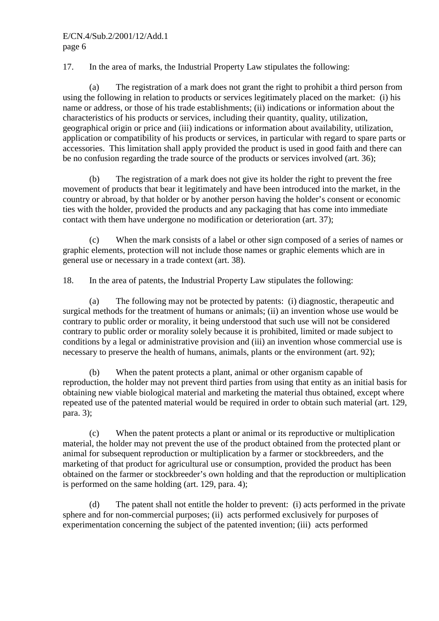17. In the area of marks, the Industrial Property Law stipulates the following:

 (a) The registration of a mark does not grant the right to prohibit a third person from using the following in relation to products or services legitimately placed on the market: (i) his name or address, or those of his trade establishments; (ii) indications or information about the characteristics of his products or services, including their quantity, quality, utilization, geographical origin or price and (iii) indications or information about availability, utilization, application or compatibility of his products or services, in particular with regard to spare parts or accessories. This limitation shall apply provided the product is used in good faith and there can be no confusion regarding the trade source of the products or services involved (art. 36);

 (b) The registration of a mark does not give its holder the right to prevent the free movement of products that bear it legitimately and have been introduced into the market, in the country or abroad, by that holder or by another person having the holder's consent or economic ties with the holder, provided the products and any packaging that has come into immediate contact with them have undergone no modification or deterioration (art. 37);

 (c) When the mark consists of a label or other sign composed of a series of names or graphic elements, protection will not include those names or graphic elements which are in general use or necessary in a trade context (art. 38).

18. In the area of patents, the Industrial Property Law stipulates the following:

 (a) The following may not be protected by patents: (i) diagnostic, therapeutic and surgical methods for the treatment of humans or animals; (ii) an invention whose use would be contrary to public order or morality, it being understood that such use will not be considered contrary to public order or morality solely because it is prohibited, limited or made subject to conditions by a legal or administrative provision and (iii) an invention whose commercial use is necessary to preserve the health of humans, animals, plants or the environment (art. 92);

 (b) When the patent protects a plant, animal or other organism capable of reproduction, the holder may not prevent third parties from using that entity as an initial basis for obtaining new viable biological material and marketing the material thus obtained, except where repeated use of the patented material would be required in order to obtain such material (art. 129, para. 3);

 (c) When the patent protects a plant or animal or its reproductive or multiplication material, the holder may not prevent the use of the product obtained from the protected plant or animal for subsequent reproduction or multiplication by a farmer or stockbreeders, and the marketing of that product for agricultural use or consumption, provided the product has been obtained on the farmer or stockbreeder's own holding and that the reproduction or multiplication is performed on the same holding (art. 129, para. 4);

 (d) The patent shall not entitle the holder to prevent: (i) acts performed in the private sphere and for non-commercial purposes; (ii) acts performed exclusively for purposes of experimentation concerning the subject of the patented invention; (iii) acts performed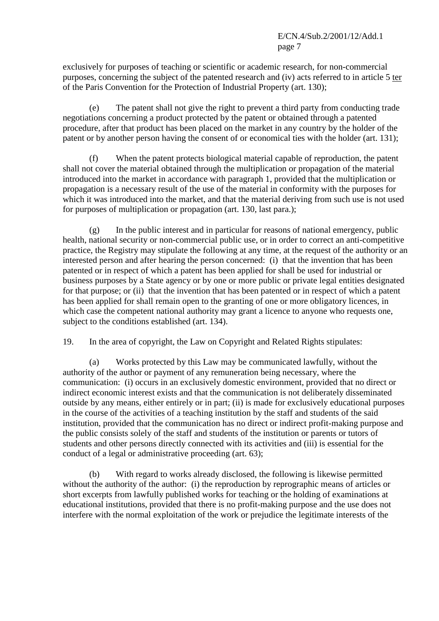exclusively for purposes of teaching or scientific or academic research, for non-commercial purposes, concerning the subject of the patented research and (iv) acts referred to in article 5 ter of the Paris Convention for the Protection of Industrial Property (art. 130);

 (e) The patent shall not give the right to prevent a third party from conducting trade negotiations concerning a product protected by the patent or obtained through a patented procedure, after that product has been placed on the market in any country by the holder of the patent or by another person having the consent of or economical ties with the holder (art. 131);

 (f) When the patent protects biological material capable of reproduction, the patent shall not cover the material obtained through the multiplication or propagation of the material introduced into the market in accordance with paragraph 1, provided that the multiplication or propagation is a necessary result of the use of the material in conformity with the purposes for which it was introduced into the market, and that the material deriving from such use is not used for purposes of multiplication or propagation (art. 130, last para.);

 (g) In the public interest and in particular for reasons of national emergency, public health, national security or non-commercial public use, or in order to correct an anti-competitive practice, the Registry may stipulate the following at any time, at the request of the authority or an interested person and after hearing the person concerned: (i) that the invention that has been patented or in respect of which a patent has been applied for shall be used for industrial or business purposes by a State agency or by one or more public or private legal entities designated for that purpose; or (ii) that the invention that has been patented or in respect of which a patent has been applied for shall remain open to the granting of one or more obligatory licences, in which case the competent national authority may grant a licence to anyone who requests one, subject to the conditions established (art. 134).

19. In the area of copyright, the Law on Copyright and Related Rights stipulates:

Works protected by this Law may be communicated lawfully, without the authority of the author or payment of any remuneration being necessary, where the communication: (i) occurs in an exclusively domestic environment, provided that no direct or indirect economic interest exists and that the communication is not deliberately disseminated outside by any means, either entirely or in part; (ii) is made for exclusively educational purposes in the course of the activities of a teaching institution by the staff and students of the said institution, provided that the communication has no direct or indirect profit-making purpose and the public consists solely of the staff and students of the institution or parents or tutors of students and other persons directly connected with its activities and (iii) is essential for the conduct of a legal or administrative proceeding (art. 63);

 (b) With regard to works already disclosed, the following is likewise permitted without the authority of the author: (i) the reproduction by reprographic means of articles or short excerpts from lawfully published works for teaching or the holding of examinations at educational institutions, provided that there is no profit-making purpose and the use does not interfere with the normal exploitation of the work or prejudice the legitimate interests of the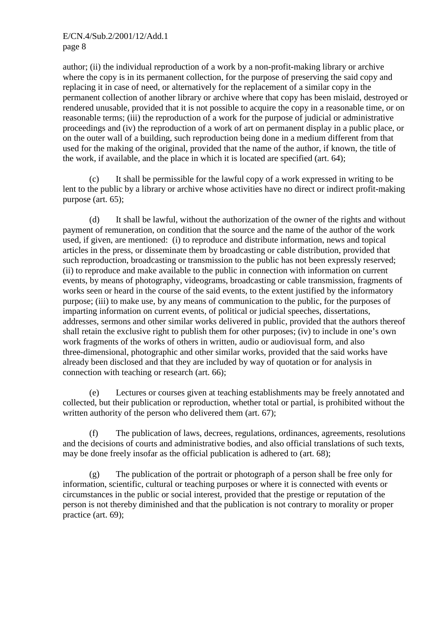author; (ii) the individual reproduction of a work by a non-profit-making library or archive where the copy is in its permanent collection, for the purpose of preserving the said copy and replacing it in case of need, or alternatively for the replacement of a similar copy in the permanent collection of another library or archive where that copy has been mislaid, destroyed or rendered unusable, provided that it is not possible to acquire the copy in a reasonable time, or on reasonable terms; (iii) the reproduction of a work for the purpose of judicial or administrative proceedings and (iv) the reproduction of a work of art on permanent display in a public place, or on the outer wall of a building, such reproduction being done in a medium different from that used for the making of the original, provided that the name of the author, if known, the title of the work, if available, and the place in which it is located are specified (art. 64);

 (c) It shall be permissible for the lawful copy of a work expressed in writing to be lent to the public by a library or archive whose activities have no direct or indirect profit-making purpose (art. 65);

 (d) It shall be lawful, without the authorization of the owner of the rights and without payment of remuneration, on condition that the source and the name of the author of the work used, if given, are mentioned: (i) to reproduce and distribute information, news and topical articles in the press, or disseminate them by broadcasting or cable distribution, provided that such reproduction, broadcasting or transmission to the public has not been expressly reserved; (ii) to reproduce and make available to the public in connection with information on current events, by means of photography, videograms, broadcasting or cable transmission, fragments of works seen or heard in the course of the said events, to the extent justified by the informatory purpose; (iii) to make use, by any means of communication to the public, for the purposes of imparting information on current events, of political or judicial speeches, dissertations, addresses, sermons and other similar works delivered in public, provided that the authors thereof shall retain the exclusive right to publish them for other purposes; (iv) to include in one's own work fragments of the works of others in written, audio or audiovisual form, and also three-dimensional, photographic and other similar works, provided that the said works have already been disclosed and that they are included by way of quotation or for analysis in connection with teaching or research (art. 66);

 (e) Lectures or courses given at teaching establishments may be freely annotated and collected, but their publication or reproduction, whether total or partial, is prohibited without the written authority of the person who delivered them (art. 67);

 (f) The publication of laws, decrees, regulations, ordinances, agreements, resolutions and the decisions of courts and administrative bodies, and also official translations of such texts, may be done freely insofar as the official publication is adhered to (art. 68);

 (g) The publication of the portrait or photograph of a person shall be free only for information, scientific, cultural or teaching purposes or where it is connected with events or circumstances in the public or social interest, provided that the prestige or reputation of the person is not thereby diminished and that the publication is not contrary to morality or proper practice (art. 69);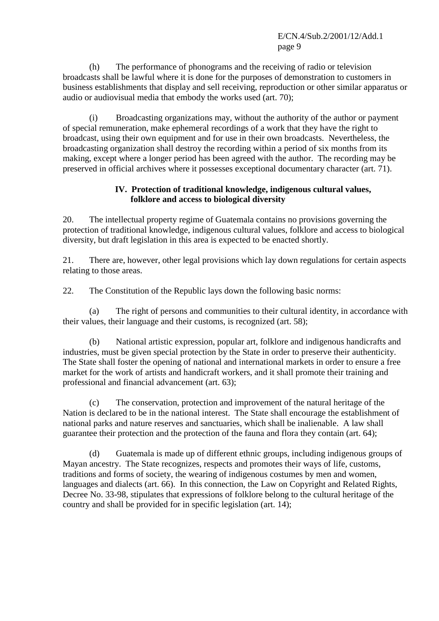(h) The performance of phonograms and the receiving of radio or television broadcasts shall be lawful where it is done for the purposes of demonstration to customers in business establishments that display and sell receiving, reproduction or other similar apparatus or audio or audiovisual media that embody the works used (art. 70);

 (i) Broadcasting organizations may, without the authority of the author or payment of special remuneration, make ephemeral recordings of a work that they have the right to broadcast, using their own equipment and for use in their own broadcasts. Nevertheless, the broadcasting organization shall destroy the recording within a period of six months from its making, except where a longer period has been agreed with the author. The recording may be preserved in official archives where it possesses exceptional documentary character (art. 71).

## **IV. Protection of traditional knowledge, indigenous cultural values, folklore and access to biological diversity**

20. The intellectual property regime of Guatemala contains no provisions governing the protection of traditional knowledge, indigenous cultural values, folklore and access to biological diversity, but draft legislation in this area is expected to be enacted shortly.

21. There are, however, other legal provisions which lay down regulations for certain aspects relating to those areas.

22. The Constitution of the Republic lays down the following basic norms:

 (a) The right of persons and communities to their cultural identity, in accordance with their values, their language and their customs, is recognized (art. 58);

 (b) National artistic expression, popular art, folklore and indigenous handicrafts and industries, must be given special protection by the State in order to preserve their authenticity. The State shall foster the opening of national and international markets in order to ensure a free market for the work of artists and handicraft workers, and it shall promote their training and professional and financial advancement (art. 63);

 (c) The conservation, protection and improvement of the natural heritage of the Nation is declared to be in the national interest. The State shall encourage the establishment of national parks and nature reserves and sanctuaries, which shall be inalienable. A law shall guarantee their protection and the protection of the fauna and flora they contain (art. 64);

 (d) Guatemala is made up of different ethnic groups, including indigenous groups of Mayan ancestry. The State recognizes, respects and promotes their ways of life, customs, traditions and forms of society, the wearing of indigenous costumes by men and women, languages and dialects (art. 66). In this connection, the Law on Copyright and Related Rights, Decree No. 33-98, stipulates that expressions of folklore belong to the cultural heritage of the country and shall be provided for in specific legislation (art. 14);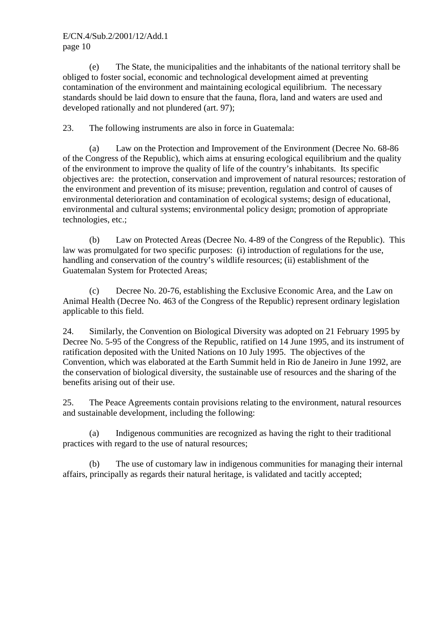(e) The State, the municipalities and the inhabitants of the national territory shall be obliged to foster social, economic and technological development aimed at preventing contamination of the environment and maintaining ecological equilibrium. The necessary standards should be laid down to ensure that the fauna, flora, land and waters are used and developed rationally and not plundered (art. 97);

23. The following instruments are also in force in Guatemala:

 (a) Law on the Protection and Improvement of the Environment (Decree No. 68-86 of the Congress of the Republic), which aims at ensuring ecological equilibrium and the quality of the environment to improve the quality of life of the country's inhabitants. Its specific objectives are: the protection, conservation and improvement of natural resources; restoration of the environment and prevention of its misuse; prevention, regulation and control of causes of environmental deterioration and contamination of ecological systems; design of educational, environmental and cultural systems; environmental policy design; promotion of appropriate technologies, etc.;

 (b) Law on Protected Areas (Decree No. 4-89 of the Congress of the Republic). This law was promulgated for two specific purposes: (i) introduction of regulations for the use, handling and conservation of the country's wildlife resources; (ii) establishment of the Guatemalan System for Protected Areas;

 (c) Decree No. 20-76, establishing the Exclusive Economic Area, and the Law on Animal Health (Decree No. 463 of the Congress of the Republic) represent ordinary legislation applicable to this field.

24. Similarly, the Convention on Biological Diversity was adopted on 21 February 1995 by Decree No. 5-95 of the Congress of the Republic, ratified on 14 June 1995, and its instrument of ratification deposited with the United Nations on 10 July 1995. The objectives of the Convention, which was elaborated at the Earth Summit held in Rio de Janeiro in June 1992, are the conservation of biological diversity, the sustainable use of resources and the sharing of the benefits arising out of their use.

25. The Peace Agreements contain provisions relating to the environment, natural resources and sustainable development, including the following:

 (a) Indigenous communities are recognized as having the right to their traditional practices with regard to the use of natural resources;

 (b) The use of customary law in indigenous communities for managing their internal affairs, principally as regards their natural heritage, is validated and tacitly accepted;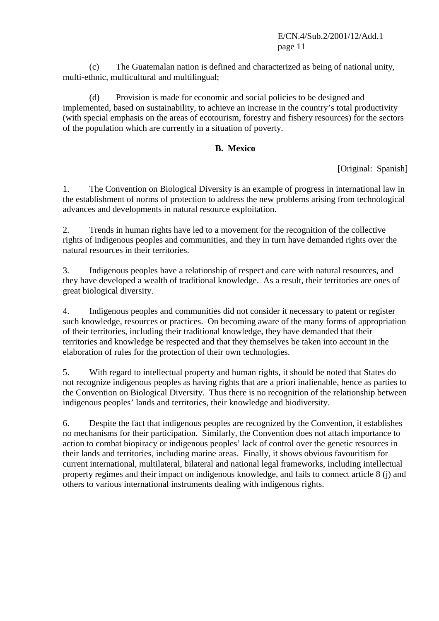(c) The Guatemalan nation is defined and characterized as being of national unity, multi-ethnic, multicultural and multilingual;

 (d) Provision is made for economic and social policies to be designed and implemented, based on sustainability, to achieve an increase in the country's total productivity (with special emphasis on the areas of ecotourism, forestry and fishery resources) for the sectors of the population which are currently in a situation of poverty.

## **B. Mexico**

[Original: Spanish]

1. The Convention on Biological Diversity is an example of progress in international law in the establishment of norms of protection to address the new problems arising from technological advances and developments in natural resource exploitation.

2. Trends in human rights have led to a movement for the recognition of the collective rights of indigenous peoples and communities, and they in turn have demanded rights over the natural resources in their territories.

3. Indigenous peoples have a relationship of respect and care with natural resources, and they have developed a wealth of traditional knowledge. As a result, their territories are ones of great biological diversity.

4. Indigenous peoples and communities did not consider it necessary to patent or register such knowledge, resources or practices. On becoming aware of the many forms of appropriation of their territories, including their traditional knowledge, they have demanded that their territories and knowledge be respected and that they themselves be taken into account in the elaboration of rules for the protection of their own technologies.

5. With regard to intellectual property and human rights, it should be noted that States do not recognize indigenous peoples as having rights that are a priori inalienable, hence as parties to the Convention on Biological Diversity. Thus there is no recognition of the relationship between indigenous peoples' lands and territories, their knowledge and biodiversity.

6. Despite the fact that indigenous peoples are recognized by the Convention, it establishes no mechanisms for their participation. Similarly, the Convention does not attach importance to action to combat biopiracy or indigenous peoples' lack of control over the genetic resources in their lands and territories, including marine areas. Finally, it shows obvious favouritism for current international, multilateral, bilateral and national legal frameworks, including intellectual property regimes and their impact on indigenous knowledge, and fails to connect article 8 (j) and others to various international instruments dealing with indigenous rights.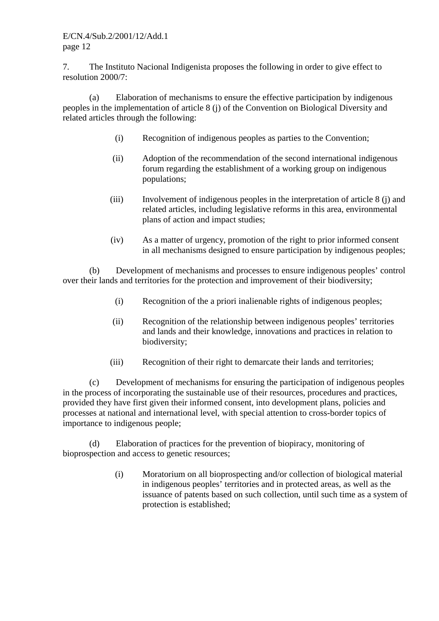7. The Instituto Nacional Indigenista proposes the following in order to give effect to resolution 2000/7:

 (a) Elaboration of mechanisms to ensure the effective participation by indigenous peoples in the implementation of article 8 (j) of the Convention on Biological Diversity and related articles through the following:

- (i) Recognition of indigenous peoples as parties to the Convention;
- (ii) Adoption of the recommendation of the second international indigenous forum regarding the establishment of a working group on indigenous populations;
- (iii) Involvement of indigenous peoples in the interpretation of article 8 (j) and related articles, including legislative reforms in this area, environmental plans of action and impact studies;
- (iv) As a matter of urgency, promotion of the right to prior informed consent in all mechanisms designed to ensure participation by indigenous peoples;

 (b) Development of mechanisms and processes to ensure indigenous peoples' control over their lands and territories for the protection and improvement of their biodiversity;

- (i) Recognition of the a priori inalienable rights of indigenous peoples;
- (ii) Recognition of the relationship between indigenous peoples' territories and lands and their knowledge, innovations and practices in relation to biodiversity;
- (iii) Recognition of their right to demarcate their lands and territories;

 (c) Development of mechanisms for ensuring the participation of indigenous peoples in the process of incorporating the sustainable use of their resources, procedures and practices, provided they have first given their informed consent, into development plans, policies and processes at national and international level, with special attention to cross-border topics of importance to indigenous people;

 (d) Elaboration of practices for the prevention of biopiracy, monitoring of bioprospection and access to genetic resources;

> (i) Moratorium on all bioprospecting and/or collection of biological material in indigenous peoples' territories and in protected areas, as well as the issuance of patents based on such collection, until such time as a system of protection is established;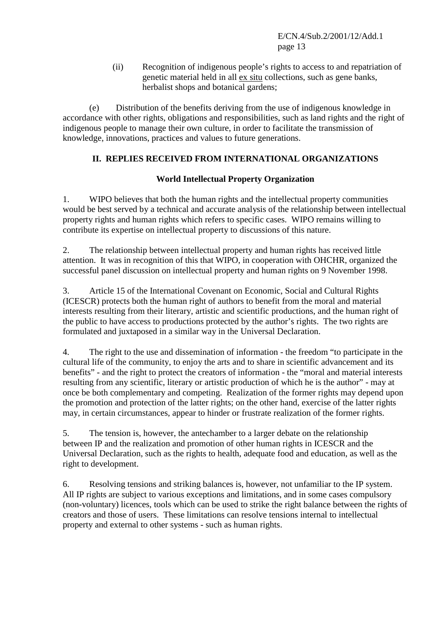(ii) Recognition of indigenous people's rights to access to and repatriation of genetic material held in all ex situ collections, such as gene banks, herbalist shops and botanical gardens;

 (e) Distribution of the benefits deriving from the use of indigenous knowledge in accordance with other rights, obligations and responsibilities, such as land rights and the right of indigenous people to manage their own culture, in order to facilitate the transmission of knowledge, innovations, practices and values to future generations.

# **II. REPLIES RECEIVED FROM INTERNATIONAL ORGANIZATIONS**

## **World Intellectual Property Organization**

1. WIPO believes that both the human rights and the intellectual property communities would be best served by a technical and accurate analysis of the relationship between intellectual property rights and human rights which refers to specific cases. WIPO remains willing to contribute its expertise on intellectual property to discussions of this nature.

2. The relationship between intellectual property and human rights has received little attention. It was in recognition of this that WIPO, in cooperation with OHCHR, organized the successful panel discussion on intellectual property and human rights on 9 November 1998.

3. Article 15 of the International Covenant on Economic, Social and Cultural Rights (ICESCR) protects both the human right of authors to benefit from the moral and material interests resulting from their literary, artistic and scientific productions, and the human right of the public to have access to productions protected by the author's rights. The two rights are formulated and juxtaposed in a similar way in the Universal Declaration.

4. The right to the use and dissemination of information - the freedom "to participate in the cultural life of the community, to enjoy the arts and to share in scientific advancement and its benefits" - and the right to protect the creators of information - the "moral and material interests resulting from any scientific, literary or artistic production of which he is the author" - may at once be both complementary and competing. Realization of the former rights may depend upon the promotion and protection of the latter rights; on the other hand, exercise of the latter rights may, in certain circumstances, appear to hinder or frustrate realization of the former rights.

5. The tension is, however, the antechamber to a larger debate on the relationship between IP and the realization and promotion of other human rights in ICESCR and the Universal Declaration, such as the rights to health, adequate food and education, as well as the right to development.

6. Resolving tensions and striking balances is, however, not unfamiliar to the IP system. All IP rights are subject to various exceptions and limitations, and in some cases compulsory (non-voluntary) licences, tools which can be used to strike the right balance between the rights of creators and those of users. These limitations can resolve tensions internal to intellectual property and external to other systems - such as human rights.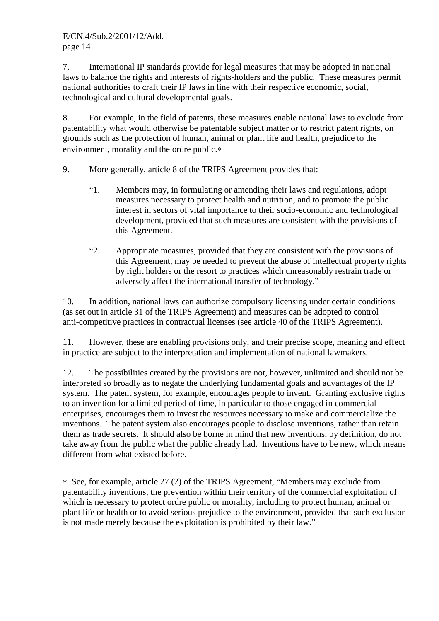$\overline{a}$ 

7. International IP standards provide for legal measures that may be adopted in national laws to balance the rights and interests of rights-holders and the public. These measures permit national authorities to craft their IP laws in line with their respective economic, social, technological and cultural developmental goals.

8. For example, in the field of patents, these measures enable national laws to exclude from patentability what would otherwise be patentable subject matter or to restrict patent rights, on grounds such as the protection of human, animal or plant life and health, prejudice to the environment, morality and the ordre public.∗

9. More generally, article 8 of the TRIPS Agreement provides that:

- "1. Members may, in formulating or amending their laws and regulations, adopt measures necessary to protect health and nutrition, and to promote the public interest in sectors of vital importance to their socio-economic and technological development, provided that such measures are consistent with the provisions of this Agreement.
- "2. Appropriate measures, provided that they are consistent with the provisions of this Agreement, may be needed to prevent the abuse of intellectual property rights by right holders or the resort to practices which unreasonably restrain trade or adversely affect the international transfer of technology."

10. In addition, national laws can authorize compulsory licensing under certain conditions (as set out in article 31 of the TRIPS Agreement) and measures can be adopted to control anti-competitive practices in contractual licenses (see article 40 of the TRIPS Agreement).

11. However, these are enabling provisions only, and their precise scope, meaning and effect in practice are subject to the interpretation and implementation of national lawmakers.

12. The possibilities created by the provisions are not, however, unlimited and should not be interpreted so broadly as to negate the underlying fundamental goals and advantages of the IP system. The patent system, for example, encourages people to invent. Granting exclusive rights to an invention for a limited period of time, in particular to those engaged in commercial enterprises, encourages them to invest the resources necessary to make and commercialize the inventions. The patent system also encourages people to disclose inventions, rather than retain them as trade secrets. It should also be borne in mind that new inventions, by definition, do not take away from the public what the public already had. Inventions have to be new, which means different from what existed before.

<sup>∗</sup> See, for example, article 27 (2) of the TRIPS Agreement, "Members may exclude from patentability inventions, the prevention within their territory of the commercial exploitation of which is necessary to protect ordre public or morality, including to protect human, animal or plant life or health or to avoid serious prejudice to the environment, provided that such exclusion is not made merely because the exploitation is prohibited by their law."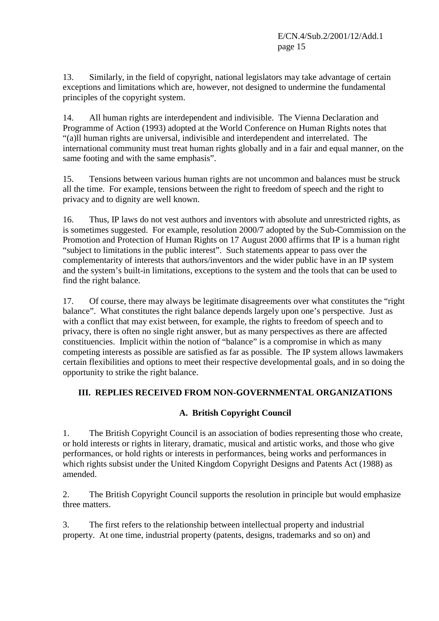13. Similarly, in the field of copyright, national legislators may take advantage of certain exceptions and limitations which are, however, not designed to undermine the fundamental principles of the copyright system.

14. All human rights are interdependent and indivisible. The Vienna Declaration and Programme of Action (1993) adopted at the World Conference on Human Rights notes that "(a)ll human rights are universal, indivisible and interdependent and interrelated. The international community must treat human rights globally and in a fair and equal manner, on the same footing and with the same emphasis".

15. Tensions between various human rights are not uncommon and balances must be struck all the time. For example, tensions between the right to freedom of speech and the right to privacy and to dignity are well known.

16. Thus, IP laws do not vest authors and inventors with absolute and unrestricted rights, as is sometimes suggested. For example, resolution 2000/7 adopted by the Sub-Commission on the Promotion and Protection of Human Rights on 17 August 2000 affirms that IP is a human right "subject to limitations in the public interest". Such statements appear to pass over the complementarity of interests that authors/inventors and the wider public have in an IP system and the system's built-in limitations, exceptions to the system and the tools that can be used to find the right balance.

17. Of course, there may always be legitimate disagreements over what constitutes the "right balance". What constitutes the right balance depends largely upon one's perspective. Just as with a conflict that may exist between, for example, the rights to freedom of speech and to privacy, there is often no single right answer, but as many perspectives as there are affected constituencies. Implicit within the notion of "balance" is a compromise in which as many competing interests as possible are satisfied as far as possible. The IP system allows lawmakers certain flexibilities and options to meet their respective developmental goals, and in so doing the opportunity to strike the right balance.

# **III. REPLIES RECEIVED FROM NON-GOVERNMENTAL ORGANIZATIONS**

## **A. British Copyright Council**

1. The British Copyright Council is an association of bodies representing those who create, or hold interests or rights in literary, dramatic, musical and artistic works, and those who give performances, or hold rights or interests in performances, being works and performances in which rights subsist under the United Kingdom Copyright Designs and Patents Act (1988) as amended.

2. The British Copyright Council supports the resolution in principle but would emphasize three matters.

3. The first refers to the relationship between intellectual property and industrial property. At one time, industrial property (patents, designs, trademarks and so on) and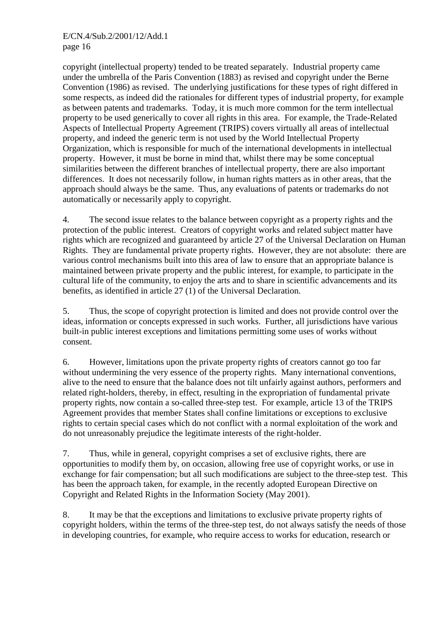copyright (intellectual property) tended to be treated separately. Industrial property came under the umbrella of the Paris Convention (1883) as revised and copyright under the Berne Convention (1986) as revised. The underlying justifications for these types of right differed in some respects, as indeed did the rationales for different types of industrial property, for example as between patents and trademarks. Today, it is much more common for the term intellectual property to be used generically to cover all rights in this area. For example, the Trade-Related Aspects of Intellectual Property Agreement (TRIPS) covers virtually all areas of intellectual property, and indeed the generic term is not used by the World Intellectual Property Organization, which is responsible for much of the international developments in intellectual property. However, it must be borne in mind that, whilst there may be some conceptual similarities between the different branches of intellectual property, there are also important differences. It does not necessarily follow, in human rights matters as in other areas, that the approach should always be the same. Thus, any evaluations of patents or trademarks do not automatically or necessarily apply to copyright.

4. The second issue relates to the balance between copyright as a property rights and the protection of the public interest. Creators of copyright works and related subject matter have rights which are recognized and guaranteed by article 27 of the Universal Declaration on Human Rights. They are fundamental private property rights. However, they are not absolute: there are various control mechanisms built into this area of law to ensure that an appropriate balance is maintained between private property and the public interest, for example, to participate in the cultural life of the community, to enjoy the arts and to share in scientific advancements and its benefits, as identified in article 27 (1) of the Universal Declaration.

5. Thus, the scope of copyright protection is limited and does not provide control over the ideas, information or concepts expressed in such works. Further, all jurisdictions have various built-in public interest exceptions and limitations permitting some uses of works without consent.

6. However, limitations upon the private property rights of creators cannot go too far without undermining the very essence of the property rights. Many international conventions, alive to the need to ensure that the balance does not tilt unfairly against authors, performers and related right-holders, thereby, in effect, resulting in the expropriation of fundamental private property rights, now contain a so-called three-step test. For example, article 13 of the TRIPS Agreement provides that member States shall confine limitations or exceptions to exclusive rights to certain special cases which do not conflict with a normal exploitation of the work and do not unreasonably prejudice the legitimate interests of the right-holder.

7. Thus, while in general, copyright comprises a set of exclusive rights, there are opportunities to modify them by, on occasion, allowing free use of copyright works, or use in exchange for fair compensation; but all such modifications are subject to the three-step test. This has been the approach taken, for example, in the recently adopted European Directive on Copyright and Related Rights in the Information Society (May 2001).

8. It may be that the exceptions and limitations to exclusive private property rights of copyright holders, within the terms of the three-step test, do not always satisfy the needs of those in developing countries, for example, who require access to works for education, research or